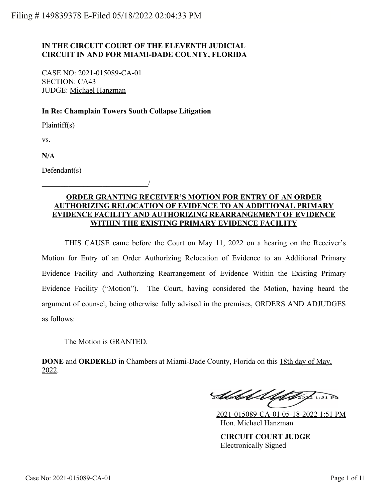# **IN THE CIRCUIT COURT OF THE ELEVENTH JUDICIAL CIRCUIT IN AND FOR MIAMI-DADE COUNTY, FLORIDA**

CASE NO: 2021-015089-CA-01 SECTION: CA43 JUDGE: Michael Hanzman

\_\_\_\_\_\_\_\_\_\_\_\_\_\_\_\_\_\_\_\_\_\_\_\_\_\_\_\_/

#### **In Re: Champlain Towers South Collapse Litigation**

Plaintiff(s)

vs.

**N/A**

Defendant(s)

# **ORDER GRANTING RECEIVER'S MOTION FOR ENTRY OF AN ORDER AUTHORIZING RELOCATION OF EVIDENCE TO AN ADDITIONAL PRIMARY EVIDENCE FACILITY AND AUTHORIZING REARRANGEMENT OF EVIDENCE WITHIN THE EXISTING PRIMARY EVIDENCE FACILITY**

THIS CAUSE came before the Court on May 11, 2022 on a hearing on the Receiver's Motion for Entry of an Order Authorizing Relocation of Evidence to an Additional Primary Evidence Facility and Authorizing Rearrangement of Evidence Within the Existing Primary Evidence Facility ("Motion"). The Court, having considered the Motion, having heard the argument of counsel, being otherwise fully advised in the premises, ORDERS AND ADJUDGES as follows:

The Motion is GRANTED.

**DONE** and **ORDERED** in Chambers at Miami-Dade County, Florida on this 18th day of May, 2022.

Stelek telefter  $21:51$  PD

2021-015089-CA-01 05-18-2022 1:51 PM Hon. Michael Hanzman

**CIRCUIT COURT JUDGE** Electronically Signed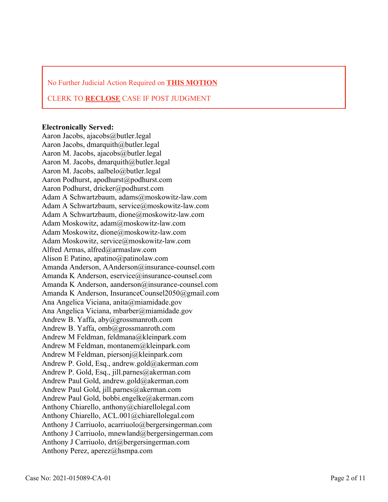No Further Judicial Action Required on **THIS MOTION**

# CLERK TO **RECLOSE** CASE IF POST JUDGMENT

#### **Electronically Served:**

Aaron Jacobs, ajacobs@butler.legal Aaron Jacobs, dmarquith@butler.legal Aaron M. Jacobs, ajacobs@butler.legal Aaron M. Jacobs, dmarquith@butler.legal Aaron M. Jacobs, aalbelo@butler.legal Aaron Podhurst, apodhurst@podhurst.com Aaron Podhurst, dricker@podhurst.com Adam A Schwartzbaum, adams@moskowitz-law.com Adam A Schwartzbaum, service@moskowitz-law.com Adam A Schwartzbaum, dione@moskowitz-law.com Adam Moskowitz, adam@moskowitz-law.com Adam Moskowitz, dione@moskowitz-law.com Adam Moskowitz, service@moskowitz-law.com Alfred Armas, alfred@armaslaw.com Alison E Patino, apatino@patinolaw.com Amanda Anderson, AAnderson@insurance-counsel.com Amanda K Anderson, eservice@insurance-counsel.com Amanda K Anderson, aanderson@insurance-counsel.com Amanda K Anderson, InsuranceCounsel2050@gmail.com Ana Angelica Viciana, anita@miamidade.gov Ana Angelica Viciana, mbarber@miamidade.gov Andrew B. Yaffa, aby@grossmanroth.com Andrew B. Yaffa, omb@grossmanroth.com Andrew M Feldman, feldmana@kleinpark.com Andrew M Feldman, montanem@kleinpark.com Andrew M Feldman, piersonj@kleinpark.com Andrew P. Gold, Esq., andrew.gold@akerman.com Andrew P. Gold, Esq., jill.parnes@akerman.com Andrew Paul Gold, andrew.gold@akerman.com Andrew Paul Gold, jill.parnes@akerman.com Andrew Paul Gold, bobbi.engelke@akerman.com Anthony Chiarello, anthony@chiarellolegal.com Anthony Chiarello, ACL.001@chiarellolegal.com Anthony J Carriuolo, acarriuolo@bergersingerman.com Anthony J Carriuolo, mnewland@bergersingerman.com Anthony J Carriuolo, drt@bergersingerman.com Anthony Perez, aperez@hsmpa.com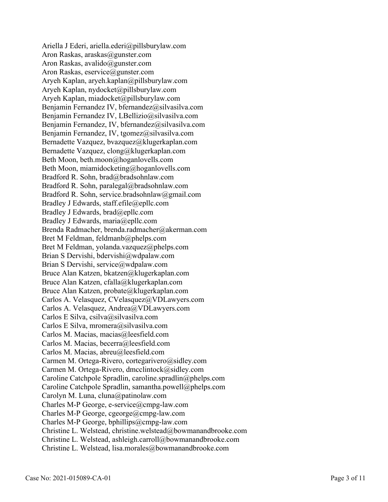Ariella J Ederi, ariella.ederi@pillsburylaw.com Aron Raskas, araskas@gunster.com Aron Raskas, avalido@gunster.com Aron Raskas, eservice@gunster.com Aryeh Kaplan, aryeh.kaplan@pillsburylaw.com Aryeh Kaplan, nydocket@pillsburylaw.com Aryeh Kaplan, miadocket@pillsburylaw.com Benjamin Fernandez IV, bfernandez@silvasilva.com Benjamin Fernandez IV, LBellizio@silvasilva.com Benjamin Fernandez, IV, bfernandez@silvasilva.com Benjamin Fernandez, IV, tgomez@silvasilva.com Bernadette Vazquez, bvazquez@klugerkaplan.com Bernadette Vazquez, clong@klugerkaplan.com Beth Moon, beth.moon@hoganlovells.com Beth Moon, miamidocketing@hoganlovells.com Bradford R. Sohn, brad@bradsohnlaw.com Bradford R. Sohn, paralegal@bradsohnlaw.com Bradford R. Sohn, service.bradsohnlaw@gmail.com Bradley J Edwards, staff.efile@epllc.com Bradley J Edwards, brad@epllc.com Bradley J Edwards, maria@epllc.com Brenda Radmacher, brenda.radmacher@akerman.com Bret M Feldman, feldmanb@phelps.com Bret M Feldman, yolanda.vazquez@phelps.com Brian S Dervishi, bdervishi@wdpalaw.com Brian S Dervishi, service@wdpalaw.com Bruce Alan Katzen, bkatzen@klugerkaplan.com Bruce Alan Katzen, cfalla@klugerkaplan.com Bruce Alan Katzen, probate@klugerkaplan.com Carlos A. Velasquez, CVelasquez@VDLawyers.com Carlos A. Velasquez, Andrea@VDLawyers.com Carlos E Silva, csilva@silvasilva.com Carlos E Silva, mromera@silvasilva.com Carlos M. Macias, macias@leesfield.com Carlos M. Macias, becerra@leesfield.com Carlos M. Macias, abreu@leesfield.com Carmen M. Ortega-Rivero, cortegarivero@sidley.com Carmen M. Ortega-Rivero, dmcclintock@sidley.com Caroline Catchpole Spradlin, caroline.spradlin@phelps.com Caroline Catchpole Spradlin, samantha.powell@phelps.com Carolyn M. Luna, cluna@patinolaw.com Charles M-P George, e-service@cmpg-law.com Charles M-P George, cgeorge@cmpg-law.com Charles M-P George, bphillips@cmpg-law.com Christine L. Welstead, christine.welstead@bowmanandbrooke.com Christine L. Welstead, ashleigh.carroll@bowmanandbrooke.com Christine L. Welstead, lisa.morales@bowmanandbrooke.com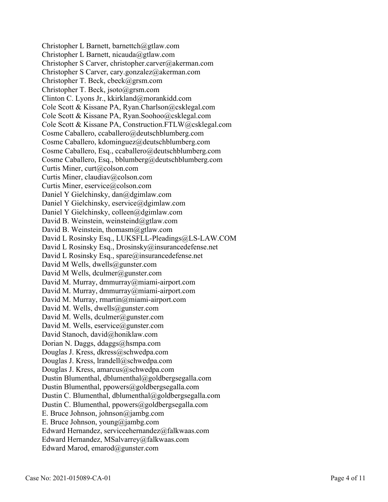Christopher L Barnett, barnettch@gtlaw.com Christopher L Barnett, nicauda@gtlaw.com Christopher S Carver, christopher.carver@akerman.com Christopher S Carver, cary.gonzalez@akerman.com Christopher T. Beck, cbeck@grsm.com Christopher T. Beck, jsoto@grsm.com Clinton C. Lyons Jr., kkirkland@morankidd.com Cole Scott & Kissane PA, Ryan.Charlson@csklegal.com Cole Scott & Kissane PA, Ryan.Soohoo@csklegal.com Cole Scott & Kissane PA, Construction.FTLW@csklegal.com Cosme Caballero, ccaballero@deutschblumberg.com Cosme Caballero, kdominguez@deutschblumberg.com Cosme Caballero, Esq., ccaballero@deutschblumberg.com Cosme Caballero, Esq., bblumberg@deutschblumberg.com Curtis Miner, curt@colson.com Curtis Miner, claudiav@colson.com Curtis Miner, eservice@colson.com Daniel Y Gielchinsky, dan@dgimlaw.com Daniel Y Gielchinsky, eservice@dgimlaw.com Daniel Y Gielchinsky, colleen@dgimlaw.com David B. Weinstein, weinsteind@gtlaw.com David B. Weinstein, thomasm@gtlaw.com David L Rosinsky Esq., LUKSFLL-Pleadings@LS-LAW.COM David L Rosinsky Esq., Drosinsky@insurancedefense.net David L Rosinsky Esq., spare@insurancedefense.net David M Wells, dwells@gunster.com David M Wells, dculmer@gunster.com David M. Murray, dmmurray@miami-airport.com David M. Murray, dmmurray@miami-airport.com David M. Murray, rmartin@miami-airport.com David M. Wells, dwells@gunster.com David M. Wells, dculmer@gunster.com David M. Wells, eservice@gunster.com David Stanoch, david@honiklaw.com Dorian N. Daggs, ddaggs@hsmpa.com Douglas J. Kress, dkress@schwedpa.com Douglas J. Kress, lrandell@schwedpa.com Douglas J. Kress, amarcus@schwedpa.com Dustin Blumenthal, dblumenthal@goldbergsegalla.com Dustin Blumenthal, ppowers@goldbergsegalla.com Dustin C. Blumenthal, dblumenthal@goldbergsegalla.com Dustin C. Blumenthal, ppowers@goldbergsegalla.com E. Bruce Johnson, johnson@jambg.com E. Bruce Johnson, young@jambg.com Edward Hernandez, serviceehernandez@falkwaas.com Edward Hernandez, MSalvarrey@falkwaas.com Edward Marod, emarod@gunster.com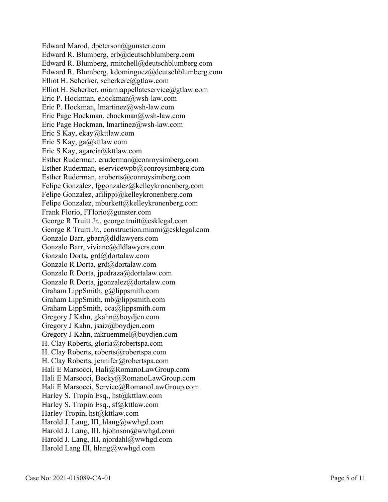Edward Marod, dpeterson@gunster.com Edward R. Blumberg, erb@deutschblumberg.com Edward R. Blumberg, rmitchell@deutschblumberg.com Edward R. Blumberg, kdominguez@deutschblumberg.com Elliot H. Scherker, scherkere@gtlaw.com Elliot H. Scherker, miamiappellateservice@gtlaw.com Eric P. Hockman, ehockman@wsh-law.com Eric P. Hockman, lmartinez@wsh-law.com Eric Page Hockman, ehockman@wsh-law.com Eric Page Hockman, lmartinez@wsh-law.com Eric S Kay, ekay@kttlaw.com Eric S Kay, ga@kttlaw.com Eric S Kay, agarcia@kttlaw.com Esther Ruderman, eruderman@conroysimberg.com Esther Ruderman, eservicewpb@conroysimberg.com Esther Ruderman, aroberts@conroysimberg.com Felipe Gonzalez, fggonzalez@kelleykronenberg.com Felipe Gonzalez, afilippi@kelleykronenberg.com Felipe Gonzalez, mburkett@kelleykronenberg.com Frank Florio, FFlorio@gunster.com George R Truitt Jr., george.truitt@csklegal.com George R Truitt Jr., construction.miami@csklegal.com Gonzalo Barr, gbarr@dldlawyers.com Gonzalo Barr, viviane@dldlawyers.com Gonzalo Dorta, grd@dortalaw.com Gonzalo R Dorta, grd@dortalaw.com Gonzalo R Dorta, jpedraza@dortalaw.com Gonzalo R Dorta, jgonzalez@dortalaw.com Graham LippSmith, g@lippsmith.com Graham LippSmith, mb@lippsmith.com Graham LippSmith, cca@lippsmith.com Gregory J Kahn, gkahn@boydjen.com Gregory J Kahn, jsaiz@boydjen.com Gregory J Kahn, mkruemmel@boydjen.com H. Clay Roberts, gloria@robertspa.com H. Clay Roberts, roberts@robertspa.com H. Clay Roberts, jennifer@robertspa.com Hali E Marsocci, Hali@RomanoLawGroup.com Hali E Marsocci, Becky@RomanoLawGroup.com Hali E Marsocci, Service@RomanoLawGroup.com Harley S. Tropin Esq., hst@kttlaw.com Harley S. Tropin Esq., sf@kttlaw.com Harley Tropin, hst@kttlaw.com Harold J. Lang, III, hlang@wwhgd.com Harold J. Lang, III, hjohnson@wwhgd.com Harold J. Lang, III, njordahl@wwhgd.com Harold Lang III, hlang@wwhgd.com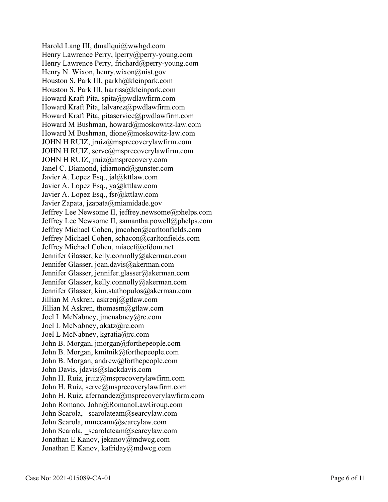Harold Lang III, dmallqui@wwhgd.com Henry Lawrence Perry, lperry@perry-young.com Henry Lawrence Perry, frichard@perry-young.com Henry N. Wixon, henry.wixon@nist.gov Houston S. Park III, parkh@kleinpark.com Houston S. Park III, harriss@kleinpark.com Howard Kraft Pita, spita@pwdlawfirm.com Howard Kraft Pita, lalvarez@pwdlawfirm.com Howard Kraft Pita, pitaservice@pwdlawfirm.com Howard M Bushman, howard@moskowitz-law.com Howard M Bushman, dione@moskowitz-law.com JOHN H RUIZ, jruiz@msprecoverylawfirm.com JOHN H RUIZ, serve@msprecoverylawfirm.com JOHN H RUIZ, jruiz@msprecovery.com Janel C. Diamond, idiamond@gunster.com Javier A. Lopez Esq., jal@kttlaw.com Javier A. Lopez Esq., ya@kttlaw.com Javier A. Lopez Esq., fsr@kttlaw.com Javier Zapata, jzapata@miamidade.gov Jeffrey Lee Newsome II, jeffrey.newsome@phelps.com Jeffrey Lee Newsome II, samantha.powell@phelps.com Jeffrey Michael Cohen, jmcohen@carltonfields.com Jeffrey Michael Cohen, schacon@carltonfields.com Jeffrey Michael Cohen, miaecf@cfdom.net Jennifer Glasser, kelly.connolly@akerman.com Jennifer Glasser, joan.davis@akerman.com Jennifer Glasser, jennifer.glasser@akerman.com Jennifer Glasser, kelly.connolly@akerman.com Jennifer Glasser, kim.stathopulos@akerman.com Jillian M Askren, askrenj@gtlaw.com Jillian M Askren, thomasm@gtlaw.com Joel L McNabney, jmcnabney@rc.com Joel L McNabney, akatz@rc.com Joel L McNabney, kgratia@rc.com John B. Morgan, jmorgan@forthepeople.com John B. Morgan, kmitnik@forthepeople.com John B. Morgan, andrew@forthepeople.com John Davis, jdavis@slackdavis.com John H. Ruiz, jruiz@msprecoverylawfirm.com John H. Ruiz, serve@msprecoverylawfirm.com John H. Ruiz, afernandez@msprecoverylawfirm.com John Romano, John@RomanoLawGroup.com John Scarola, scarolateam@searcylaw.com John Scarola, mmccann@searcylaw.com John Scarola, scarolateam@searcylaw.com Jonathan E Kanov, jekanov@mdwcg.com Jonathan E Kanov, kafriday@mdwcg.com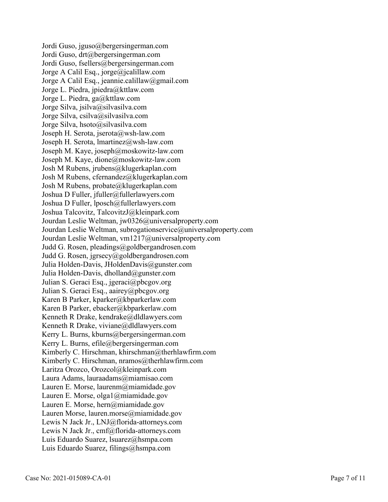Jordi Guso, jguso@bergersingerman.com Jordi Guso, drt@bergersingerman.com Jordi Guso, fsellers@bergersingerman.com Jorge A Calil Esq., jorge@jcalillaw.com Jorge A Calil Esq., jeannie.calillaw@gmail.com Jorge L. Piedra, jpiedra@kttlaw.com Jorge L. Piedra, ga@kttlaw.com Jorge Silva, jsilva@silvasilva.com Jorge Silva, csilva@silvasilva.com Jorge Silva, hsoto@silvasilva.com Joseph H. Serota, jserota@wsh-law.com Joseph H. Serota, lmartinez@wsh-law.com Joseph M. Kaye, joseph@moskowitz-law.com Joseph M. Kaye, dione@moskowitz-law.com Josh M Rubens, jrubens@klugerkaplan.com Josh M Rubens, cfernandez@klugerkaplan.com Josh M Rubens, probate@klugerkaplan.com Joshua D Fuller, jfuller@fullerlawyers.com Joshua D Fuller, lposch@fullerlawyers.com Joshua Talcovitz, TalcovitzJ@kleinpark.com Jourdan Leslie Weltman, jw0326@universalproperty.com Jourdan Leslie Weltman, subrogationservice@universalproperty.com Jourdan Leslie Weltman, vm1217@universalproperty.com Judd G. Rosen, pleadings@goldbergandrosen.com Judd G. Rosen, jgrsecy@goldbergandrosen.com Julia Holden-Davis, JHoldenDavis@gunster.com Julia Holden-Davis, dholland@gunster.com Julian S. Geraci Esq., jgeraci@pbcgov.org Julian S. Geraci Esq., aairey@pbcgov.org Karen B Parker, kparker@kbparkerlaw.com Karen B Parker, ebacker@kbparkerlaw.com Kenneth R Drake, kendrake@dldlawyers.com Kenneth R Drake, viviane@dldlawyers.com Kerry L. Burns, kburns@bergersingerman.com Kerry L. Burns, efile@bergersingerman.com Kimberly C. Hirschman, khirschman@therhlawfirm.com Kimberly C. Hirschman, nramos@therhlawfirm.com Laritza Orozco, Orozcol@kleinpark.com Laura Adams, lauraadams@miamisao.com Lauren E. Morse, laurenm@miamidade.gov Lauren E. Morse, olga1@miamidade.gov Lauren E. Morse, hern@miamidade.gov Lauren Morse, lauren.morse@miamidade.gov Lewis N Jack Jr., LNJ@florida-attorneys.com Lewis N Jack Jr., cmf@florida-attorneys.com Luis Eduardo Suarez, lsuarez@hsmpa.com Luis Eduardo Suarez, filings@hsmpa.com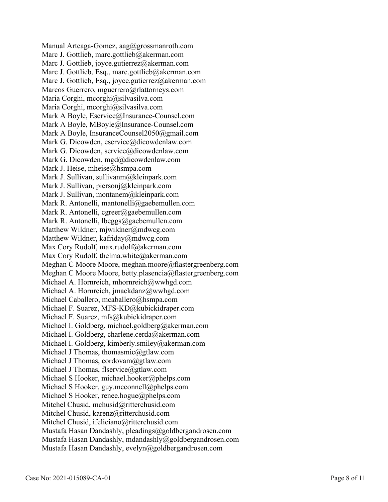Manual Arteaga-Gomez, aag@grossmanroth.com Marc J. Gottlieb, marc.gottlieb@akerman.com Marc J. Gottlieb, joyce.gutierrez@akerman.com Marc J. Gottlieb, Esq., marc.gottlieb@akerman.com Marc J. Gottlieb, Esq., joyce.gutierrez@akerman.com Marcos Guerrero, mguerrero@rlattorneys.com Maria Corghi, mcorghi@silvasilva.com Maria Corghi, mcorghi@silvasilva.com Mark A Boyle, Eservice@Insurance-Counsel.com Mark A Boyle, MBoyle@Insurance-Counsel.com Mark A Boyle, InsuranceCounsel2050@gmail.com Mark G. Dicowden, eservice@dicowdenlaw.com Mark G. Dicowden, service@dicowdenlaw.com Mark G. Dicowden, mgd@dicowdenlaw.com Mark J. Heise, mheise@hsmpa.com Mark J. Sullivan, sullivanm@kleinpark.com Mark J. Sullivan, piersonj@kleinpark.com Mark J. Sullivan, montanem@kleinpark.com Mark R. Antonelli, mantonelli@gaebemullen.com Mark R. Antonelli, cgreer@gaebemullen.com Mark R. Antonelli, lbeggs@gaebemullen.com Matthew Wildner, mjwildner@mdwcg.com Matthew Wildner, kafriday@mdwcg.com Max Cory Rudolf, max.rudolf@akerman.com Max Cory Rudolf, thelma.white@akerman.com Meghan C Moore Moore, meghan.moore@flastergreenberg.com Meghan C Moore Moore, betty.plasencia@flastergreenberg.com Michael A. Hornreich, mhornreich@wwhgd.com Michael A. Hornreich, jmackdanz@wwhgd.com Michael Caballero, mcaballero@hsmpa.com Michael F. Suarez, MFS-KD@kubickidraper.com Michael F. Suarez, mfs@kubickidraper.com Michael I. Goldberg, michael.goldberg@akerman.com Michael I. Goldberg, charlene.cerda@akerman.com Michael I. Goldberg, kimberly.smiley@akerman.com Michael J Thomas, thomasmic@gtlaw.com Michael J Thomas, cordovam@gtlaw.com Michael J Thomas, flservice@gtlaw.com Michael S Hooker, michael.hooker@phelps.com Michael S Hooker, guy.mcconnell@phelps.com Michael S Hooker, renee.hogue@phelps.com Mitchel Chusid, mchusid@ritterchusid.com Mitchel Chusid, karenz@ritterchusid.com Mitchel Chusid, ifeliciano@ritterchusid.com Mustafa Hasan Dandashly, pleadings@goldbergandrosen.com Mustafa Hasan Dandashly, mdandashly@goldbergandrosen.com Mustafa Hasan Dandashly, evelyn@goldbergandrosen.com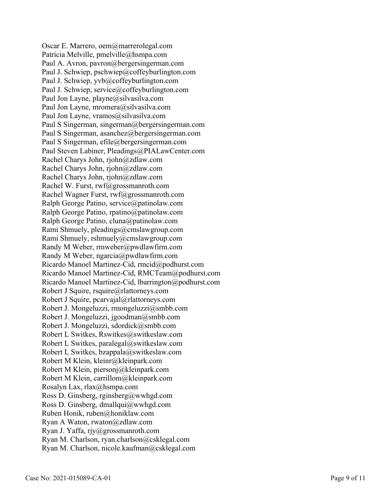Oscar E. Marrero, oem@marrerolegal.com Patricia Melville, pmelville@hsmpa.com Paul A. Avron, pavron@bergersingerman.com Paul J. Schwiep, pschwiep@coffeyburlington.com Paul J. Schwiep, yvb@coffeyburlington.com Paul J. Schwiep, service@coffeyburlington.com Paul Jon Layne, playne@silvasilva.com Paul Jon Layne, mromera@silvasilva.com Paul Jon Layne, vramos@silvasilva.com Paul S Singerman, singerman@bergersingerman.com Paul S Singerman, asanchez@bergersingerman.com Paul S Singerman, efile@bergersingerman.com Paul Steven Labiner, Pleadings@PIALawCenter.com Rachel Charys John, rjohn@zdlaw.com Rachel Charys John, rjohn@zdlaw.com Rachel Charys John, rjohn@zdlaw.com Rachel W. Furst, rwf@grossmanroth.com Rachel Wagner Furst, rwf@grossmanroth.com Ralph George Patino, service@patinolaw.com Ralph George Patino, rpatino@patinolaw.com Ralph George Patino, cluna@patinolaw.com Rami Shmuely, pleadings@cmslawgroup.com Rami Shmuely, rshmuely@cmslawgroup.com Randy M Weber, rmweber@pwdlawfirm.com Randy M Weber, ngarcia@pwdlawfirm.com Ricardo Manoel Martinez-Cid, rmcid@podhurst.com Ricardo Manoel Martinez-Cid, RMCTeam@podhurst.com Ricardo Manoel Martinez-Cid, lbarrington@podhurst.com Robert J Squire, rsquire@rlattorneys.com Robert J Squire, pcarvajal@rlattorneys.com Robert J. Mongeluzzi, rmongeluzzi@smbb.com Robert J. Mongeluzzi, jgoodman@smbb.com Robert J. Mongeluzzi, sdordick@smbb.com Robert L Switkes, Rswitkes@switkeslaw.com Robert L Switkes, paralegal@switkeslaw.com Robert L Switkes, bzappala@switkeslaw.com Robert M Klein, kleinr@kleinpark.com Robert M Klein, piersonj@kleinpark.com Robert M Klein, carrillom@kleinpark.com Rosalyn Lax, rlax@hsmpa.com Ross D. Ginsberg, rginsberg@wwhgd.com Ross D. Ginsberg, dmallqui@wwhgd.com Ruben Honik, ruben@honiklaw.com Ryan A Waton, rwaton@zdlaw.com Ryan J. Yaffa, rjy@grossmanroth.com Ryan M. Charlson, ryan.charlson@csklegal.com Ryan M. Charlson, nicole.kaufman@csklegal.com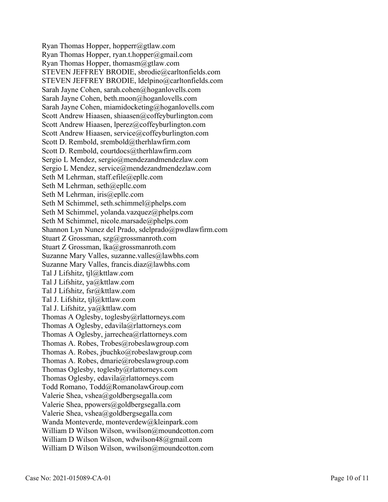Ryan Thomas Hopper, hopperr@gtlaw.com Ryan Thomas Hopper, ryan.t.hopper@gmail.com Ryan Thomas Hopper, thomasm@gtlaw.com STEVEN JEFFREY BRODIE, sbrodie@carltonfields.com STEVEN JEFFREY BRODIE, ldelpino@carltonfields.com Sarah Jayne Cohen, sarah.cohen@hoganlovells.com Sarah Jayne Cohen, beth.moon@hoganlovells.com Sarah Jayne Cohen, miamidocketing@hoganlovells.com Scott Andrew Hiaasen, shiaasen@coffeyburlington.com Scott Andrew Hiaasen, lperez@coffeyburlington.com Scott Andrew Hiaasen, service@coffeyburlington.com Scott D. Rembold, srembold@therhlawfirm.com Scott D. Rembold, courtdocs@therhlawfirm.com Sergio L Mendez, sergio@mendezandmendezlaw.com Sergio L Mendez, service@mendezandmendezlaw.com Seth M Lehrman, staff.efile@epllc.com Seth M Lehrman, seth@epllc.com Seth M Lehrman, iris@epllc.com Seth M Schimmel, seth.schimmel@phelps.com Seth M Schimmel, yolanda.vazquez@phelps.com Seth M Schimmel, nicole.marsade@phelps.com Shannon Lyn Nunez del Prado, sdelprado@pwdlawfirm.com Stuart Z Grossman, szg@grossmanroth.com Stuart Z Grossman, lka@grossmanroth.com Suzanne Mary Valles, suzanne.valles@lawbhs.com Suzanne Mary Valles, francis.diaz@lawbhs.com Tal J Lifshitz, tjl@kttlaw.com Tal J Lifshitz, ya@kttlaw.com Tal J Lifshitz, fsr@kttlaw.com Tal J. Lifshitz, tjl@kttlaw.com Tal J. Lifshitz, ya@kttlaw.com Thomas A Oglesby, toglesby@rlattorneys.com Thomas A Oglesby, edavila@rlattorneys.com Thomas A Oglesby, jarrechea@rlattorneys.com Thomas A. Robes, Trobes@robeslawgroup.com Thomas A. Robes, jbuchko@robeslawgroup.com Thomas A. Robes, dmarie@robeslawgroup.com Thomas Oglesby, toglesby@rlattorneys.com Thomas Oglesby, edavila@rlattorneys.com Todd Romano, Todd@RomanolawGroup.com Valerie Shea, vshea@goldbergsegalla.com Valerie Shea, ppowers@goldbergsegalla.com Valerie Shea, vshea@goldbergsegalla.com Wanda Monteverde, monteverdew@kleinpark.com William D Wilson Wilson, wwilson@moundcotton.com William D Wilson Wilson, wdwilson48@gmail.com William D Wilson Wilson, wwilson@moundcotton.com